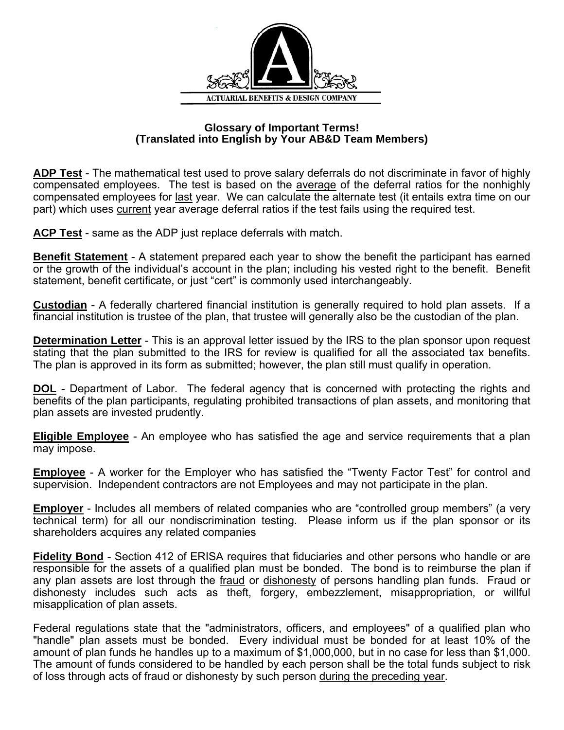

## **Glossary of Important Terms! (Translated into English by Your AB&D Team Members)**

**ADP Test** - The mathematical test used to prove salary deferrals do not discriminate in favor of highly compensated employees. The test is based on the average of the deferral ratios for the nonhighly compensated employees for last year. We can calculate the alternate test (it entails extra time on our part) which uses current year average deferral ratios if the test fails using the required test.

**ACP Test** - same as the ADP just replace deferrals with match.

**Benefit Statement** - A statement prepared each year to show the benefit the participant has earned or the growth of the individual's account in the plan; including his vested right to the benefit. Benefit statement, benefit certificate, or just "cert" is commonly used interchangeably.

**Custodian** - A federally chartered financial institution is generally required to hold plan assets. If a financial institution is trustee of the plan, that trustee will generally also be the custodian of the plan.

**Determination Letter** - This is an approval letter issued by the IRS to the plan sponsor upon request stating that the plan submitted to the IRS for review is qualified for all the associated tax benefits. The plan is approved in its form as submitted; however, the plan still must qualify in operation.

**DOL** - Department of Labor. The federal agency that is concerned with protecting the rights and benefits of the plan participants, regulating prohibited transactions of plan assets, and monitoring that plan assets are invested prudently.

**Eligible Employee** - An employee who has satisfied the age and service requirements that a plan may impose.

**Employee** - A worker for the Employer who has satisfied the "Twenty Factor Test" for control and supervision. Independent contractors are not Employees and may not participate in the plan.

**Employer** - Includes all members of related companies who are "controlled group members" (a very technical term) for all our nondiscrimination testing. Please inform us if the plan sponsor or its shareholders acquires any related companies

**Fidelity Bond** - Section 412 of ERISA requires that fiduciaries and other persons who handle or are responsible for the assets of a qualified plan must be bonded. The bond is to reimburse the plan if any plan assets are lost through the fraud or dishonesty of persons handling plan funds. Fraud or dishonesty includes such acts as theft, forgery, embezzlement, misappropriation, or willful misapplication of plan assets.

Federal regulations state that the "administrators, officers, and employees" of a qualified plan who "handle" plan assets must be bonded. Every individual must be bonded for at least 10% of the amount of plan funds he handles up to a maximum of \$1,000,000, but in no case for less than \$1,000. The amount of funds considered to be handled by each person shall be the total funds subject to risk of loss through acts of fraud or dishonesty by such person during the preceding year.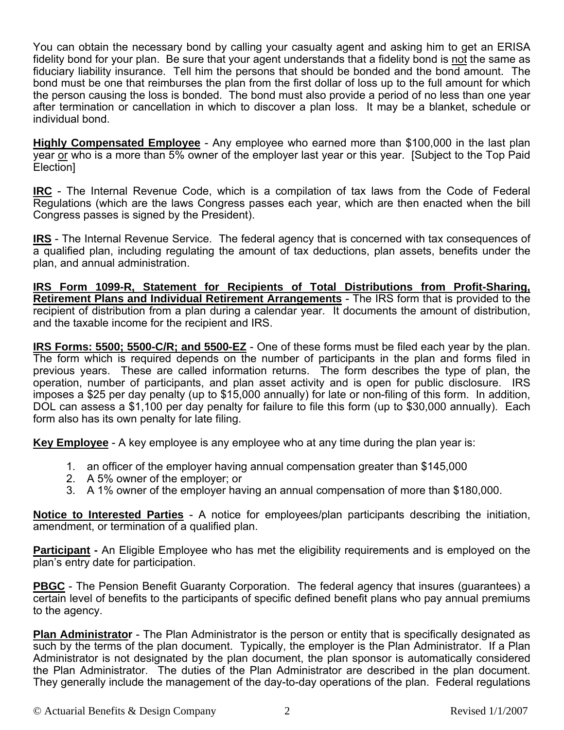You can obtain the necessary bond by calling your casualty agent and asking him to get an ERISA fidelity bond for your plan. Be sure that your agent understands that a fidelity bond is not the same as fiduciary liability insurance. Tell him the persons that should be bonded and the bond amount. The bond must be one that reimburses the plan from the first dollar of loss up to the full amount for which the person causing the loss is bonded. The bond must also provide a period of no less than one year after termination or cancellation in which to discover a plan loss. It may be a blanket, schedule or individual bond.

**Highly Compensated Employee** - Any employee who earned more than \$100,000 in the last plan year or who is a more than 5% owner of the employer last year or this year. [Subject to the Top Paid Election]

**IRC** - The Internal Revenue Code, which is a compilation of tax laws from the Code of Federal Regulations (which are the laws Congress passes each year, which are then enacted when the bill Congress passes is signed by the President).

**IRS** - The Internal Revenue Service. The federal agency that is concerned with tax consequences of a qualified plan, including regulating the amount of tax deductions, plan assets, benefits under the plan, and annual administration.

**IRS Form 1099-R, Statement for Recipients of Total Distributions from Profit-Sharing, Retirement Plans and Individual Retirement Arrangements** - The IRS form that is provided to the recipient of distribution from a plan during a calendar year. It documents the amount of distribution, and the taxable income for the recipient and IRS.

**IRS Forms: 5500; 5500-C/R; and 5500-EZ** - One of these forms must be filed each year by the plan. The form which is required depends on the number of participants in the plan and forms filed in previous years. These are called information returns. The form describes the type of plan, the operation, number of participants, and plan asset activity and is open for public disclosure. IRS imposes a \$25 per day penalty (up to \$15,000 annually) for late or non-filing of this form. In addition, DOL can assess a \$1,100 per day penalty for failure to file this form (up to \$30,000 annually). Each form also has its own penalty for late filing.

**Key Employee** - A key employee is any employee who at any time during the plan year is:

- 1. an officer of the employer having annual compensation greater than \$145,000
- 2. A 5% owner of the employer; or
- 3. A 1% owner of the employer having an annual compensation of more than \$180,000.

**Notice to Interested Parties** - A notice for employees/plan participants describing the initiation, amendment, or termination of a qualified plan.

**Participant** - An Eligible Employee who has met the eligibility requirements and is employed on the plan's entry date for participation.

**PBGC** - The Pension Benefit Guaranty Corporation. The federal agency that insures (quarantees) a certain level of benefits to the participants of specific defined benefit plans who pay annual premiums to the agency.

**Plan Administrator** - The Plan Administrator is the person or entity that is specifically designated as such by the terms of the plan document. Typically, the employer is the Plan Administrator. If a Plan Administrator is not designated by the plan document, the plan sponsor is automatically considered the Plan Administrator. The duties of the Plan Administrator are described in the plan document. They generally include the management of the day-to-day operations of the plan. Federal regulations